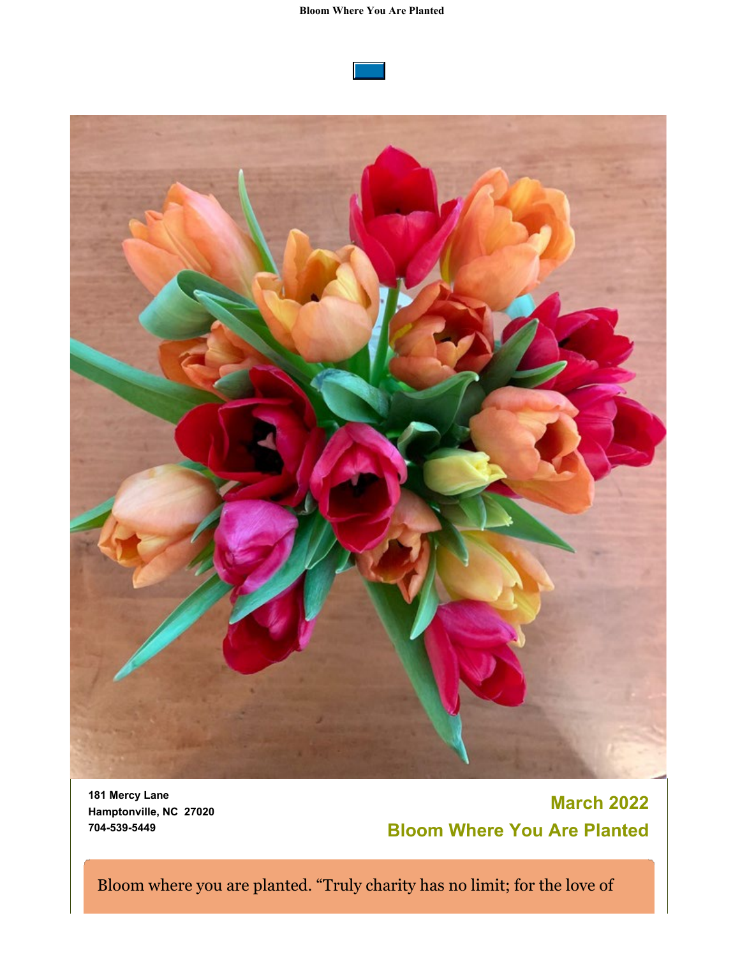#### **Bloom Where You Are Planted**





**181 Mercy Lane Hamptonville, NC 27020 704-539-5449**

# **March 2022 Bloom Where You Are Planted**

Bloom where you are planted. "Truly charity has no limit; for the love of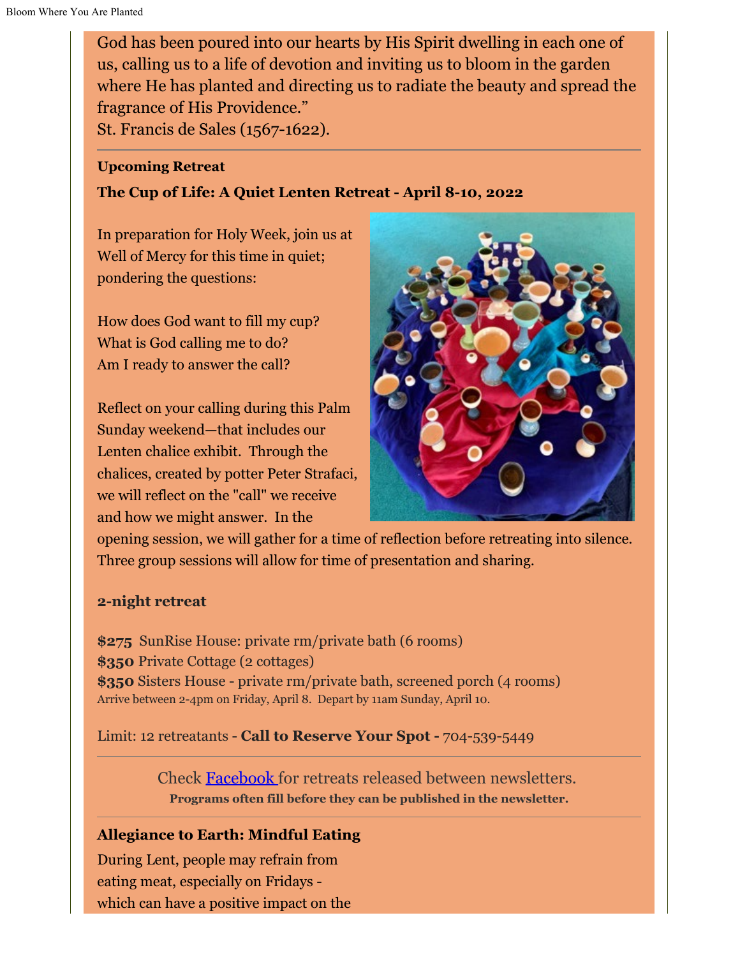God has been poured into our hearts by His Spirit dwelling in each one of us, calling us to a life of devotion and inviting us to bloom in the garden where He has planted and directing us to radiate the beauty and spread the fragrance of His Providence."

St. Francis de Sales (1567-1622).

### **Upcoming Retreat**

### **The Cup of Life: A Quiet Lenten Retreat - April 8-10, 2022**

In preparation for Holy Week, join us at Well of Mercy for this time in quiet; pondering the questions:

How does God want to fill my cup? What is God calling me to do? Am I ready to answer the call?

Reflect on your calling during this Palm Sunday weekend—that includes our Lenten chalice exhibit. Through the chalices, created by potter Peter Strafaci, we will reflect on the "call" we receive and how we might answer. In the



opening session, we will gather for a time of reflection before retreating into silence. Three group sessions will allow for time of presentation and sharing.

### **2-night retreat**

**\$275** SunRise House: private rm/private bath (6 rooms) **\$350** Private Cottage (2 cottages) **\$350** Sisters House - private rm/private bath, screened porch (4 rooms) Arrive between 2-4pm on Friday, April 8. Depart by 11am Sunday, April 10.

Limit: 12 retreatants - **Call to Reserve Your Spot -** 704-539-5449

Check [Facebook](https://www.facebook.com/Well-of-Mercy-130256423691167) for retreats released between newsletters. **Programs often fill before they can be published in the newsletter.**

### **Allegiance to Earth: Mindful Eating**

During Lent, people may refrain from eating meat, especially on Fridays which can have a positive impact on the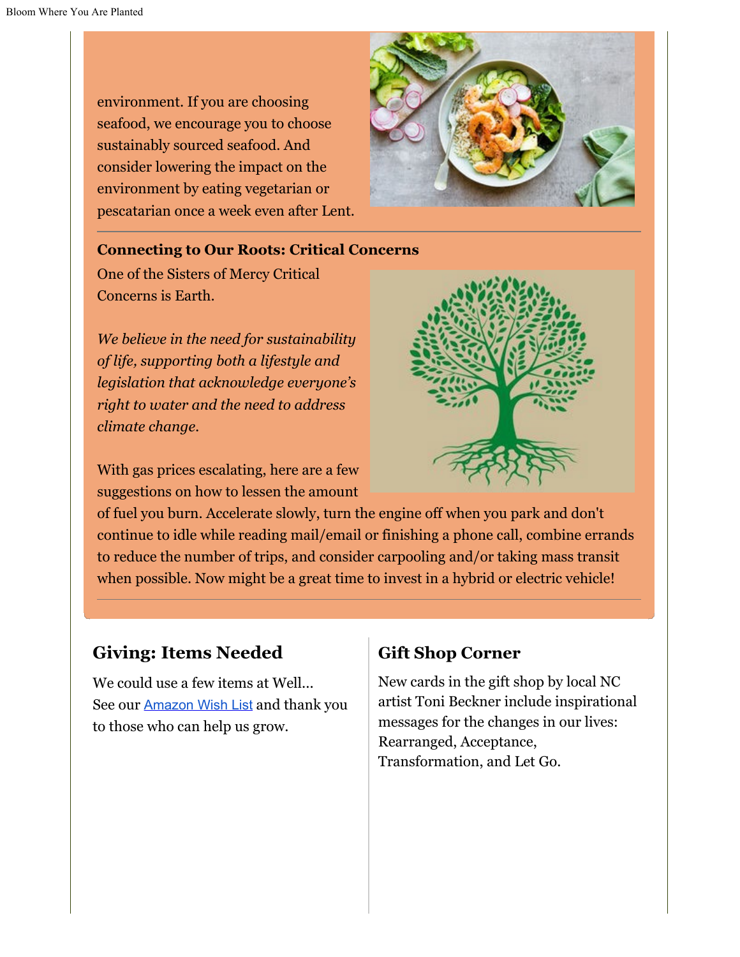environment. If you are choosing seafood, we encourage you to choose sustainably sourced seafood. And consider lowering the impact on the environment by eating vegetarian or pescatarian once a week even after Lent.



#### **Connecting to Our Roots: Critical Concerns**

One of the Sisters of Mercy Critical Concerns is Earth.

*We believe in the need for sustainability of life, supporting both a lifestyle and legislation that acknowledge everyone's right to water and the need to address climate change.*

With gas prices escalating, here are a few suggestions on how to lessen the amount



of fuel you burn. Accelerate slowly, turn the engine off when you park and don't continue to idle while reading mail/email or finishing a phone call, combine errands to reduce the number of trips, and consider carpooling and/or taking mass transit when possible. Now might be a great time to invest in a hybrid or electric vehicle!

## **Giving: Items Needed**

We could use a few items at Well... See our [Amazon Wish List](https://www.amazon.com/hz/wishlist/dl/invite/bchXEQh?ref_=wl_share) and thank you to those who can help us grow.

### **Gift Shop Corner**

New cards in the gift shop by local NC artist Toni Beckner include inspirational messages for the changes in our lives: Rearranged, Acceptance, Transformation, and Let Go.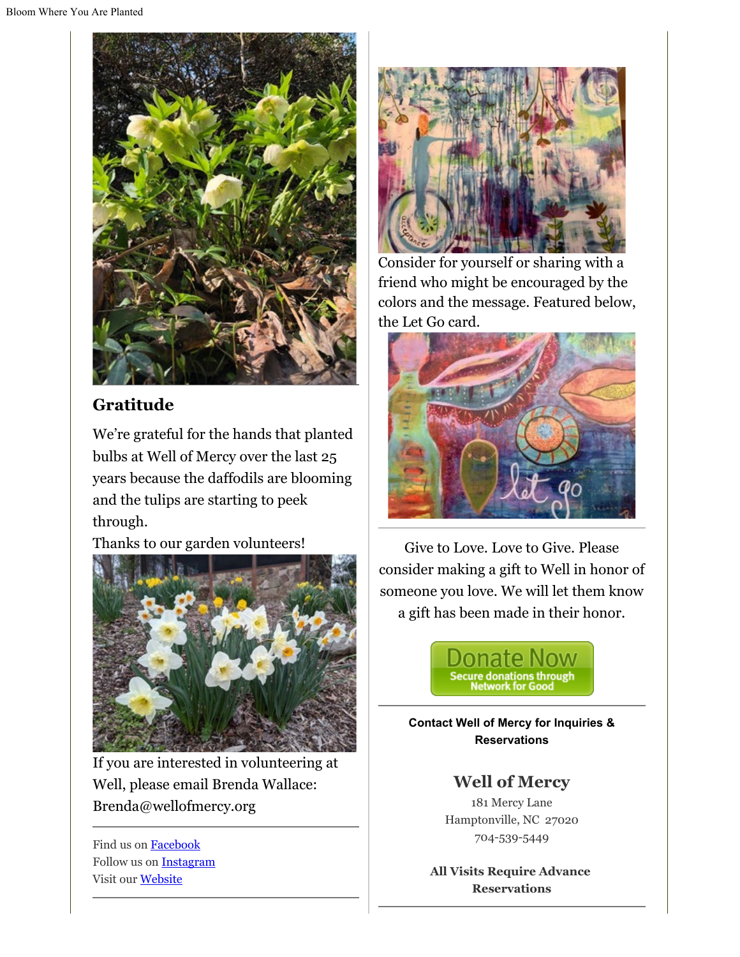

## **Gratitude**

We're grateful for the hands that planted bulbs at Well of Mercy over the last 25 years because the daffodils are blooming and the tulips are starting to peek through.

Thanks to our garden volunteers!



If you are interested in volunteering at Well, please email Brenda Wallace: Brenda@wellofmercy.org

Find us on [Facebook](https://www.facebook.com/Well-of-Mercy-130256423691167) Follow us on [Instagram](https://www.instagram.com/wellofmercy/) Visit our [Website](https://www.wellofmercy.org/)



Consider for yourself or sharing with a friend who might be encouraged by the colors and the message. Featured below, the Let Go card.



Give to Love. Love to Give. Please consider making a gift to Well in honor of someone you love. We will let them know a gift has been made in their honor.



**Contact Well of Mercy for Inquiries & Reservations**

### **Well of Mercy**

181 Mercy Lane Hamptonville, NC 27020 704-539-5449

**All Visits Require Advance Reservations**